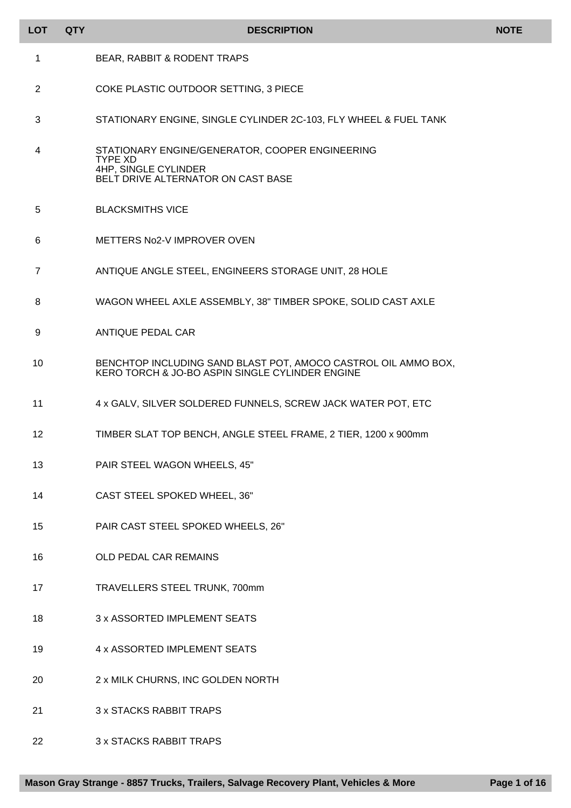| <b>LOT</b> | <b>QTY</b> | <b>DESCRIPTION</b>                                                                                                              | <b>NOTE</b> |
|------------|------------|---------------------------------------------------------------------------------------------------------------------------------|-------------|
| 1          |            | BEAR, RABBIT & RODENT TRAPS                                                                                                     |             |
| 2          |            | COKE PLASTIC OUTDOOR SETTING, 3 PIECE                                                                                           |             |
| 3          |            | STATIONARY ENGINE, SINGLE CYLINDER 2C-103, FLY WHEEL & FUEL TANK                                                                |             |
| 4          |            | STATIONARY ENGINE/GENERATOR, COOPER ENGINEERING<br><b>TYPE XD</b><br>4HP, SINGLE CYLINDER<br>BELT DRIVE ALTERNATOR ON CAST BASE |             |
| 5          |            | <b>BLACKSMITHS VICE</b>                                                                                                         |             |
| 6          |            | METTERS No2-V IMPROVER OVEN                                                                                                     |             |
| 7          |            | ANTIQUE ANGLE STEEL, ENGINEERS STORAGE UNIT, 28 HOLE                                                                            |             |
| 8          |            | WAGON WHEEL AXLE ASSEMBLY, 38" TIMBER SPOKE, SOLID CAST AXLE                                                                    |             |
| 9          |            | <b>ANTIQUE PEDAL CAR</b>                                                                                                        |             |
| 10         |            | BENCHTOP INCLUDING SAND BLAST POT, AMOCO CASTROL OIL AMMO BOX,<br>KERO TORCH & JO-BO ASPIN SINGLE CYLINDER ENGINE               |             |
| 11         |            | 4 x GALV, SILVER SOLDERED FUNNELS, SCREW JACK WATER POT, ETC                                                                    |             |
| 12         |            | TIMBER SLAT TOP BENCH, ANGLE STEEL FRAME, 2 TIER, 1200 x 900mm                                                                  |             |
| 13         |            | PAIR STEEL WAGON WHEELS, 45"                                                                                                    |             |
| 14         |            | CAST STEEL SPOKED WHEEL, 36"                                                                                                    |             |
| 15         |            | PAIR CAST STEEL SPOKED WHEELS, 26"                                                                                              |             |
| 16         |            | OLD PEDAL CAR REMAINS                                                                                                           |             |
| 17         |            | TRAVELLERS STEEL TRUNK, 700mm                                                                                                   |             |
| 18         |            | 3 x ASSORTED IMPLEMENT SEATS                                                                                                    |             |
| 19         |            | 4 x ASSORTED IMPLEMENT SEATS                                                                                                    |             |
| 20         |            | 2 x MILK CHURNS, INC GOLDEN NORTH                                                                                               |             |
| 21         |            | <b>3 x STACKS RABBIT TRAPS</b>                                                                                                  |             |
| 22         |            | 3 x STACKS RABBIT TRAPS                                                                                                         |             |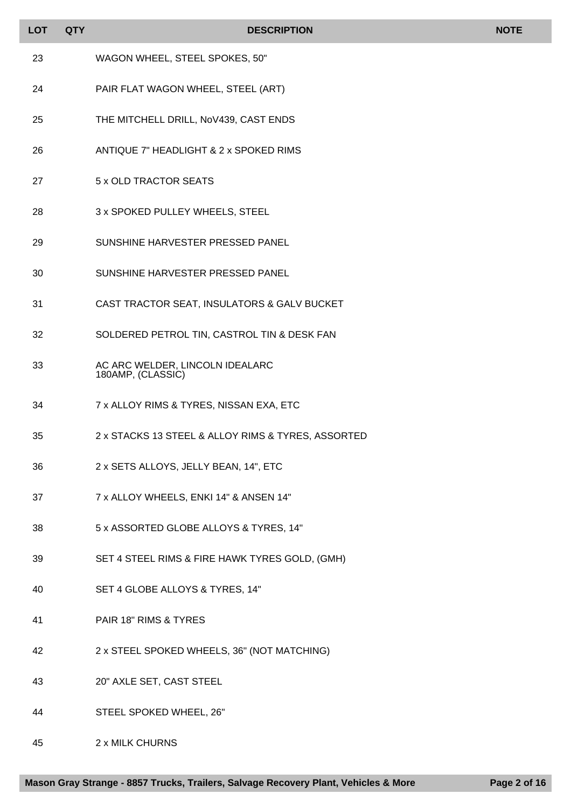| <b>LOT</b> | <b>QTY</b> | <b>DESCRIPTION</b>                                   | <b>NOTE</b> |
|------------|------------|------------------------------------------------------|-------------|
| 23         |            | WAGON WHEEL, STEEL SPOKES, 50"                       |             |
| 24         |            | PAIR FLAT WAGON WHEEL, STEEL (ART)                   |             |
| 25         |            | THE MITCHELL DRILL, NoV439, CAST ENDS                |             |
| 26         |            | ANTIQUE 7" HEADLIGHT & 2 x SPOKED RIMS               |             |
| 27         |            | 5 x OLD TRACTOR SEATS                                |             |
| 28         |            | 3 x SPOKED PULLEY WHEELS, STEEL                      |             |
| 29         |            | SUNSHINE HARVESTER PRESSED PANEL                     |             |
| 30         |            | SUNSHINE HARVESTER PRESSED PANEL                     |             |
| 31         |            | CAST TRACTOR SEAT, INSULATORS & GALV BUCKET          |             |
| 32         |            | SOLDERED PETROL TIN, CASTROL TIN & DESK FAN          |             |
| 33         |            | AC ARC WELDER, LINCOLN IDEALARC<br>180AMP, (CLASSIC) |             |
| 34         |            | 7 x ALLOY RIMS & TYRES, NISSAN EXA, ETC              |             |
| 35         |            | 2 x STACKS 13 STEEL & ALLOY RIMS & TYRES, ASSORTED   |             |
| 36         |            | 2 x SETS ALLOYS, JELLY BEAN, 14", ETC                |             |
| 37         |            | 7 x ALLOY WHEELS, ENKI 14" & ANSEN 14"               |             |
| 38         |            | 5 x ASSORTED GLOBE ALLOYS & TYRES, 14"               |             |
| 39         |            | SET 4 STEEL RIMS & FIRE HAWK TYRES GOLD, (GMH)       |             |
| 40         |            | SET 4 GLOBE ALLOYS & TYRES, 14"                      |             |
| 41         |            | PAIR 18" RIMS & TYRES                                |             |
| 42         |            | 2 x STEEL SPOKED WHEELS, 36" (NOT MATCHING)          |             |
| 43         |            | 20" AXLE SET, CAST STEEL                             |             |
| 44         |            | STEEL SPOKED WHEEL, 26"                              |             |

2 x MILK CHURNS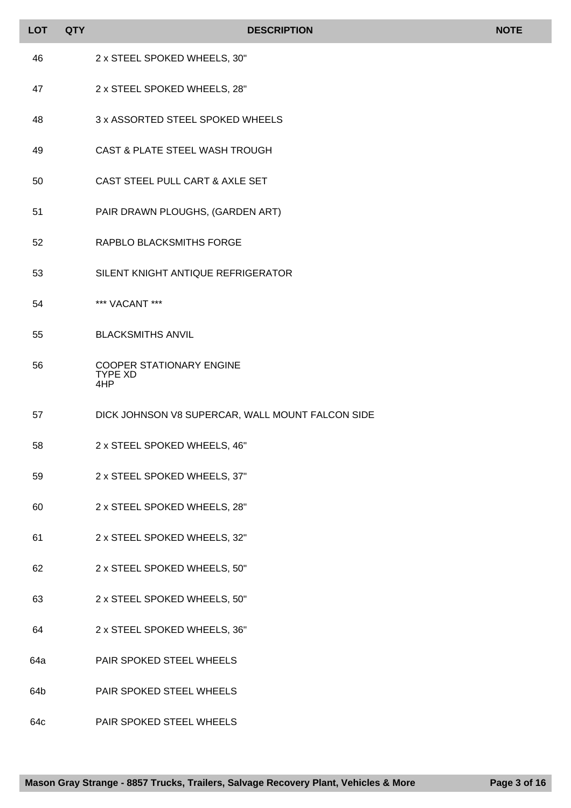| <b>LOT</b> | <b>QTY</b> | <b>DESCRIPTION</b>                                       | <b>NOTE</b> |
|------------|------------|----------------------------------------------------------|-------------|
| 46         |            | 2 x STEEL SPOKED WHEELS, 30"                             |             |
| 47         |            | 2 x STEEL SPOKED WHEELS, 28"                             |             |
| 48         |            | 3 x ASSORTED STEEL SPOKED WHEELS                         |             |
| 49         |            | CAST & PLATE STEEL WASH TROUGH                           |             |
| 50         |            | CAST STEEL PULL CART & AXLE SET                          |             |
| 51         |            | PAIR DRAWN PLOUGHS, (GARDEN ART)                         |             |
| 52         |            | RAPBLO BLACKSMITHS FORGE                                 |             |
| 53         |            | SILENT KNIGHT ANTIQUE REFRIGERATOR                       |             |
| 54         |            | *** VACANT ***                                           |             |
| 55         |            | <b>BLACKSMITHS ANVIL</b>                                 |             |
| 56         |            | <b>COOPER STATIONARY ENGINE</b><br><b>TYPE XD</b><br>4HP |             |
| 57         |            | DICK JOHNSON V8 SUPERCAR, WALL MOUNT FALCON SIDE         |             |
| 58         |            | 2 x STEEL SPOKED WHEELS, 46"                             |             |
| 59         |            | 2 x STEEL SPOKED WHEELS, 37"                             |             |
| 60         |            | 2 x STEEL SPOKED WHEELS, 28"                             |             |
| 61         |            | 2 x STEEL SPOKED WHEELS, 32"                             |             |
| 62         |            | 2 x STEEL SPOKED WHEELS, 50"                             |             |
| 63         |            | 2 x STEEL SPOKED WHEELS, 50"                             |             |
| 64         |            | 2 x STEEL SPOKED WHEELS, 36"                             |             |
| 64a        |            | PAIR SPOKED STEEL WHEELS                                 |             |
| 64b        |            | PAIR SPOKED STEEL WHEELS                                 |             |
| 64c        |            | PAIR SPOKED STEEL WHEELS                                 |             |

Г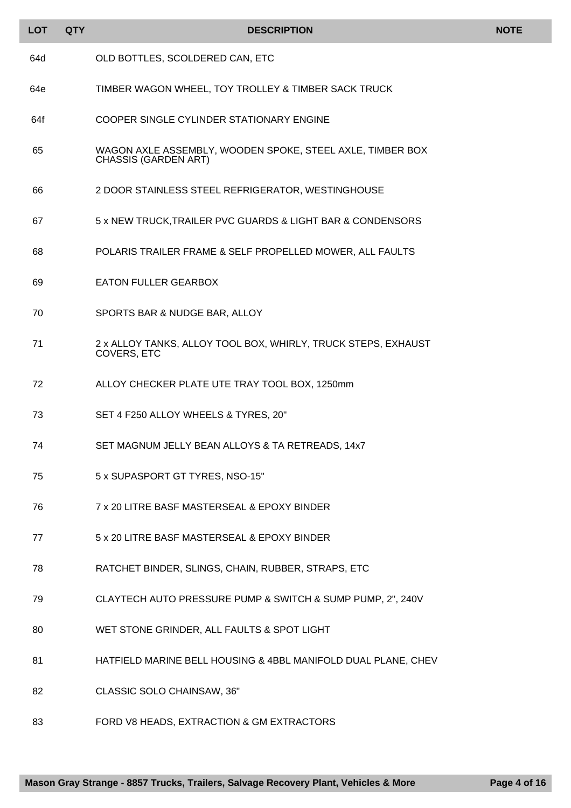| <b>LOT</b> | <b>QTY</b> | <b>DESCRIPTION</b>                                                                       | <b>NOTE</b> |
|------------|------------|------------------------------------------------------------------------------------------|-------------|
| 64d        |            | OLD BOTTLES, SCOLDERED CAN, ETC                                                          |             |
| 64e        |            | TIMBER WAGON WHEEL, TOY TROLLEY & TIMBER SACK TRUCK                                      |             |
| 64f        |            | COOPER SINGLE CYLINDER STATIONARY ENGINE                                                 |             |
| 65         |            | WAGON AXLE ASSEMBLY, WOODEN SPOKE, STEEL AXLE, TIMBER BOX<br><b>CHASSIS (GARDEN ART)</b> |             |
| 66         |            | 2 DOOR STAINLESS STEEL REFRIGERATOR, WESTINGHOUSE                                        |             |
| 67         |            | 5 x NEW TRUCK, TRAILER PVC GUARDS & LIGHT BAR & CONDENSORS                               |             |
| 68         |            | POLARIS TRAILER FRAME & SELF PROPELLED MOWER, ALL FAULTS                                 |             |
| 69         |            | <b>EATON FULLER GEARBOX</b>                                                              |             |
| 70         |            | SPORTS BAR & NUDGE BAR, ALLOY                                                            |             |
| 71         |            | 2 x ALLOY TANKS, ALLOY TOOL BOX, WHIRLY, TRUCK STEPS, EXHAUST<br>COVERS, ETC             |             |
| 72         |            | ALLOY CHECKER PLATE UTE TRAY TOOL BOX, 1250mm                                            |             |
| 73         |            | SET 4 F250 ALLOY WHEELS & TYRES, 20"                                                     |             |
| 74         |            | SET MAGNUM JELLY BEAN ALLOYS & TA RETREADS, 14x7                                         |             |
| 75         |            | 5 x SUPASPORT GT TYRES, NSO-15"                                                          |             |
| 76         |            | 7 x 20 LITRE BASF MASTERSEAL & EPOXY BINDER                                              |             |
| 77         |            | 5 x 20 LITRE BASF MASTERSEAL & EPOXY BINDER                                              |             |
| 78         |            | RATCHET BINDER, SLINGS, CHAIN, RUBBER, STRAPS, ETC                                       |             |
| 79         |            | CLAYTECH AUTO PRESSURE PUMP & SWITCH & SUMP PUMP, 2", 240V                               |             |
| 80         |            | WET STONE GRINDER, ALL FAULTS & SPOT LIGHT                                               |             |
| 81         |            | HATFIELD MARINE BELL HOUSING & 4BBL MANIFOLD DUAL PLANE, CHEV                            |             |
| 82         |            | CLASSIC SOLO CHAINSAW, 36"                                                               |             |
| 83         |            | FORD V8 HEADS, EXTRACTION & GM EXTRACTORS                                                |             |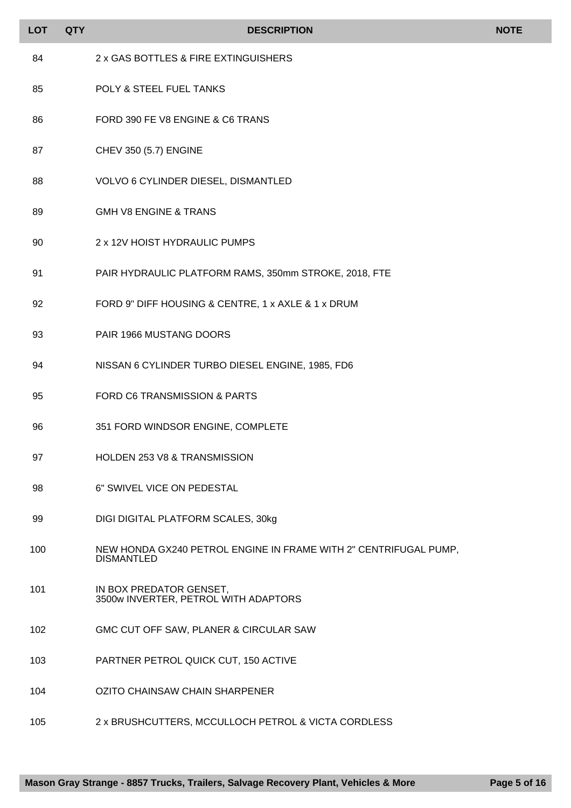| <b>LOT</b> | <b>QTY</b> | <b>DESCRIPTION</b>                                                                    | <b>NOTE</b> |
|------------|------------|---------------------------------------------------------------------------------------|-------------|
| 84         |            | 2 x GAS BOTTLES & FIRE EXTINGUISHERS                                                  |             |
| 85         |            | POLY & STEEL FUEL TANKS                                                               |             |
| 86         |            | FORD 390 FE V8 ENGINE & C6 TRANS                                                      |             |
| 87         |            | CHEV 350 (5.7) ENGINE                                                                 |             |
| 88         |            | VOLVO 6 CYLINDER DIESEL, DISMANTLED                                                   |             |
| 89         |            | <b>GMH V8 ENGINE &amp; TRANS</b>                                                      |             |
| 90         |            | 2 x 12V HOIST HYDRAULIC PUMPS                                                         |             |
| 91         |            | PAIR HYDRAULIC PLATFORM RAMS, 350mm STROKE, 2018, FTE                                 |             |
| 92         |            | FORD 9" DIFF HOUSING & CENTRE, 1 x AXLE & 1 x DRUM                                    |             |
| 93         |            | PAIR 1966 MUSTANG DOORS                                                               |             |
| 94         |            | NISSAN 6 CYLINDER TURBO DIESEL ENGINE, 1985, FD6                                      |             |
| 95         |            | FORD C6 TRANSMISSION & PARTS                                                          |             |
| 96         |            | 351 FORD WINDSOR ENGINE, COMPLETE                                                     |             |
| 97         |            | <b>HOLDEN 253 V8 &amp; TRANSMISSION</b>                                               |             |
| 98         |            | 6" SWIVEL VICE ON PEDESTAL                                                            |             |
| 99         |            | DIGI DIGITAL PLATFORM SCALES, 30kg                                                    |             |
| 100        |            | NEW HONDA GX240 PETROL ENGINE IN FRAME WITH 2" CENTRIFUGAL PUMP,<br><b>DISMANTLED</b> |             |
| 101        |            | IN BOX PREDATOR GENSET,<br>3500w INVERTER, PETROL WITH ADAPTORS                       |             |
| 102        |            | GMC CUT OFF SAW, PLANER & CIRCULAR SAW                                                |             |
| 103        |            | PARTNER PETROL QUICK CUT, 150 ACTIVE                                                  |             |
| 104        |            | OZITO CHAINSAW CHAIN SHARPENER                                                        |             |
| 105        |            | 2 x BRUSHCUTTERS, MCCULLOCH PETROL & VICTA CORDLESS                                   |             |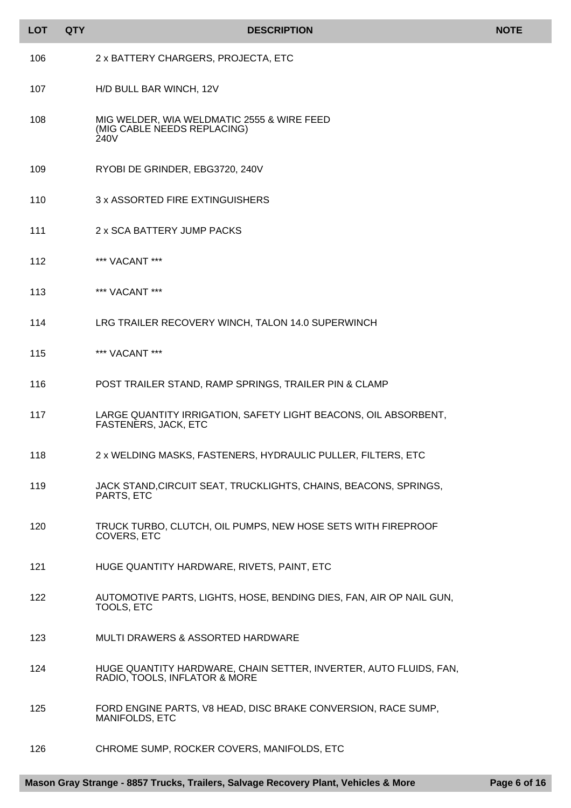| <b>LOT</b> | <b>QTY</b> | <b>DESCRIPTION</b>                                                                                 | <b>NOTE</b> |
|------------|------------|----------------------------------------------------------------------------------------------------|-------------|
| 106        |            | 2 x BATTERY CHARGERS, PROJECTA, ETC                                                                |             |
| 107        |            | H/D BULL BAR WINCH, 12V                                                                            |             |
| 108        |            | MIG WELDER, WIA WELDMATIC 2555 & WIRE FEED<br>(MIG CABLE NEEDS REPLACING)<br>240V                  |             |
| 109        |            | RYOBI DE GRINDER, EBG3720, 240V                                                                    |             |
| 110        |            | 3 x ASSORTED FIRE EXTINGUISHERS                                                                    |             |
| 111        |            | 2 x SCA BATTERY JUMP PACKS                                                                         |             |
| 112        |            | *** VACANT ***                                                                                     |             |
| 113        |            | *** VACANT ***                                                                                     |             |
| 114        |            | LRG TRAILER RECOVERY WINCH, TALON 14.0 SUPERWINCH                                                  |             |
| 115        |            | *** VACANT ***                                                                                     |             |
| 116        |            | POST TRAILER STAND, RAMP SPRINGS, TRAILER PIN & CLAMP                                              |             |
| 117        |            | LARGE QUANTITY IRRIGATION, SAFETY LIGHT BEACONS, OIL ABSORBENT,<br><b>FASTENERS, JACK, ETC</b>     |             |
| 118        |            | 2 x WELDING MASKS, FASTENERS, HYDRAULIC PULLER, FILTERS, ETC                                       |             |
| 119        |            | JACK STAND, CIRCUIT SEAT, TRUCKLIGHTS, CHAINS, BEACONS, SPRINGS,<br>PARTS, ETC                     |             |
| 120        |            | TRUCK TURBO, CLUTCH, OIL PUMPS, NEW HOSE SETS WITH FIREPROOF<br>COVERS, ETC                        |             |
| 121        |            | HUGE QUANTITY HARDWARE, RIVETS, PAINT, ETC                                                         |             |
| 122        |            | AUTOMOTIVE PARTS, LIGHTS, HOSE, BENDING DIES, FAN, AIR OP NAIL GUN,<br><b>TOOLS, ETC</b>           |             |
| 123        |            | <b>MULTI DRAWERS &amp; ASSORTED HARDWARE</b>                                                       |             |
| 124        |            | HUGE QUANTITY HARDWARE, CHAIN SETTER, INVERTER, AUTO FLUIDS, FAN,<br>RADIO, TOOLS, INFLATOR & MORE |             |
| 125        |            | FORD ENGINE PARTS, V8 HEAD, DISC BRAKE CONVERSION, RACE SUMP,<br>MANIFOLDS, ETC                    |             |
| 126        |            | CHROME SUMP, ROCKER COVERS, MANIFOLDS, ETC                                                         |             |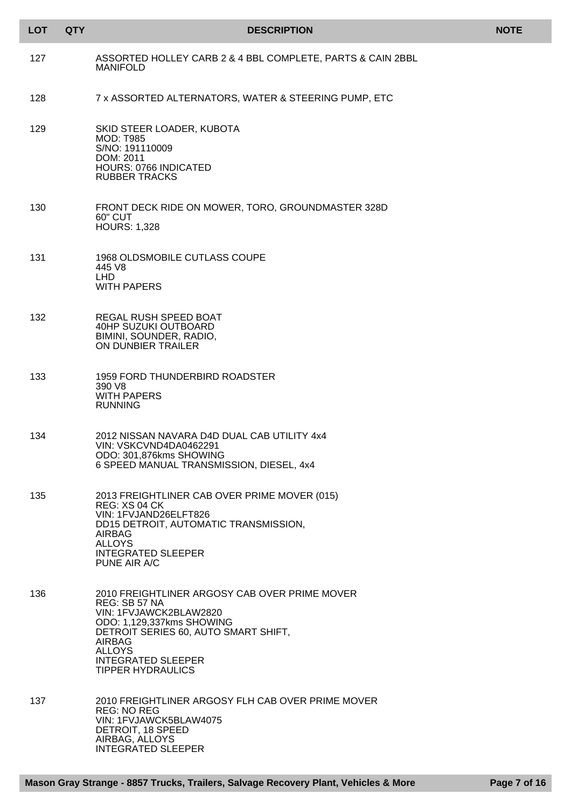| <b>LOT</b> | <b>QTY</b> | <b>DESCRIPTION</b>                                                                                                                                                                                                                                       | <b>NOTE</b> |
|------------|------------|----------------------------------------------------------------------------------------------------------------------------------------------------------------------------------------------------------------------------------------------------------|-------------|
| 127        |            | ASSORTED HOLLEY CARB 2 & 4 BBL COMPLETE, PARTS & CAIN 2BBL<br><b>MANIFOLD</b>                                                                                                                                                                            |             |
| 128        |            | 7 x ASSORTED ALTERNATORS, WATER & STEERING PUMP, ETC                                                                                                                                                                                                     |             |
| 129        |            | SKID STEER LOADER, KUBOTA<br><b>MOD: T985</b><br>S/NO: 191110009<br>DOM: 2011<br>HOURS: 0766 INDICATED<br><b>RUBBER TRACKS</b>                                                                                                                           |             |
| 130        |            | FRONT DECK RIDE ON MOWER, TORO, GROUNDMASTER 328D<br><b>60" CUT</b><br><b>HOURS: 1,328</b>                                                                                                                                                               |             |
| 131        |            | 1968 OLDSMOBILE CUTLASS COUPE<br>445 V8<br><b>LHD</b><br><b>WITH PAPERS</b>                                                                                                                                                                              |             |
| 132        |            | REGAL RUSH SPEED BOAT<br>40HP SUZUKI OUTBOARD<br>BIMINI, SOUNDER, RADIO,<br>ON DUNBIER TRAILER                                                                                                                                                           |             |
| 133        |            | 1959 FORD THUNDERBIRD ROADSTER<br>390 V8<br><b>WITH PAPERS</b><br><b>RUNNING</b>                                                                                                                                                                         |             |
| 134        |            | 2012 NISSAN NAVARA D4D DUAL CAB UTILITY 4x4<br>VIN: VSKCVND4DA0462291<br>ODO: 301,876kms SHOWING<br>6 SPEED MANUAL TRANSMISSION, DIESEL, 4x4                                                                                                             |             |
| 135        |            | 2013 FREIGHTLINER CAB OVER PRIME MOVER (015)<br>REG: XS 04 CK<br>VIN: 1FVJAND26ELFT826<br>DD15 DETROIT, AUTOMATIC TRANSMISSION,<br>AIRBAG<br><b>ALLOYS</b><br><b>INTEGRATED SLEEPER</b><br>PUNE AIR A/C                                                  |             |
| 136        |            | 2010 FREIGHTLINER ARGOSY CAB OVER PRIME MOVER<br>REG: SB 57 NA<br>VIN: 1FVJAWCK2BLAW2820<br>ODO: 1,129,337kms SHOWING<br>DETROIT SERIES 60, AUTO SMART SHIFT,<br><b>AIRBAG</b><br><b>ALLOYS</b><br><b>INTEGRATED SLEEPER</b><br><b>TIPPER HYDRAULICS</b> |             |
| 137        |            | 2010 FREIGHTLINER ARGOSY FLH CAB OVER PRIME MOVER<br><b>REG: NO REG</b><br>VIN: 1FVJAWCK5BLAW4075<br>DETROIT, 18 SPEED<br>AIRBAG, ALLOYS<br><b>INTEGRATED SLEEPER</b>                                                                                    |             |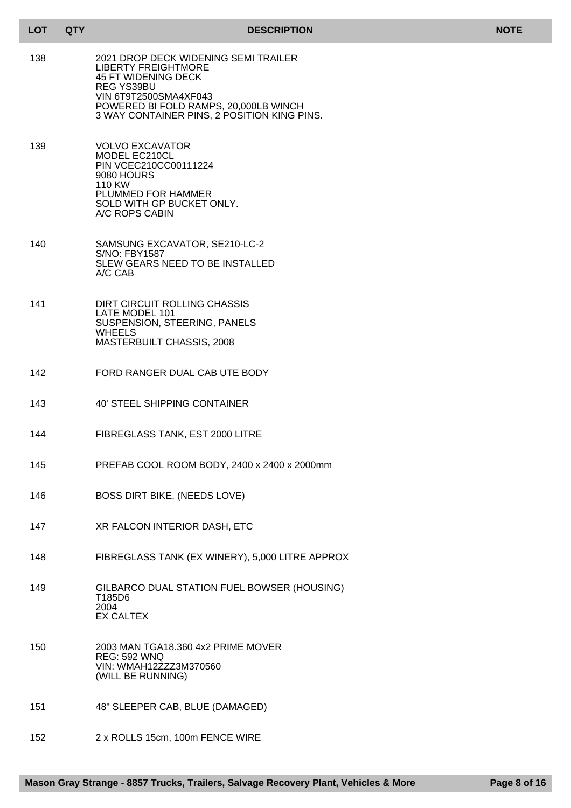| <b>DESCRIPTION</b> |
|--------------------|
|--------------------|

| <b>LOT</b> | <b>QTY</b> | <b>DESCRIPTION</b>                                                                                                                                                                                                              | <b>NOTE</b> |
|------------|------------|---------------------------------------------------------------------------------------------------------------------------------------------------------------------------------------------------------------------------------|-------------|
| 138        |            | 2021 DROP DECK WIDENING SEMI TRAILER<br><b>LIBERTY FREIGHTMORE</b><br>45 FT WIDENING DECK<br><b>REG YS39BU</b><br>VIN 6T9T2500SMA4XF043<br>POWERED BI FOLD RAMPS, 20,000LB WINCH<br>3 WAY CONTAINER PINS, 2 POSITION KING PINS. |             |
| 139        |            | <b>VOLVO EXCAVATOR</b><br>MODEL EC210CL<br>PIN VCEC210CC00111224<br>9080 HOURS<br>110 KW<br>PLUMMED FOR HAMMER<br>SOLD WITH GP BUCKET ONLY.<br>A/C ROPS CABIN                                                                   |             |
| 140        |            | SAMSUNG EXCAVATOR, SE210-LC-2<br>S/NO: FBY1587<br>SLEW GEARS NEED TO BE INSTALLED<br>A/C CAB                                                                                                                                    |             |
| 141        |            | DIRT CIRCUIT ROLLING CHASSIS<br>LATE MODEL 101<br>SUSPENSION, STEERING, PANELS<br><b>WHEELS</b><br>MASTERBUILT CHASSIS, 2008                                                                                                    |             |
| 142        |            | FORD RANGER DUAL CAB UTE BODY                                                                                                                                                                                                   |             |
| 143        |            | <b>40' STEEL SHIPPING CONTAINER</b>                                                                                                                                                                                             |             |
| 144        |            | FIBREGLASS TANK, EST 2000 LITRE                                                                                                                                                                                                 |             |
| 145        |            | PREFAB COOL ROOM BODY, 2400 x 2400 x 2000mm                                                                                                                                                                                     |             |
| 146        |            | <b>BOSS DIRT BIKE, (NEEDS LOVE)</b>                                                                                                                                                                                             |             |
| 147        |            | XR FALCON INTERIOR DASH, ETC                                                                                                                                                                                                    |             |
| 148        |            | FIBREGLASS TANK (EX WINERY), 5,000 LITRE APPROX                                                                                                                                                                                 |             |
| 149        |            | GILBARCO DUAL STATION FUEL BOWSER (HOUSING)<br>T185D6<br>2004<br><b>EX CALTEX</b>                                                                                                                                               |             |
| 150        |            | 2003 MAN TGA18.360 4x2 PRIME MOVER<br><b>REG: 592 WNQ</b><br>VIN: WMAH12ZZZ3M370560<br>(WILL BE RUNNING)                                                                                                                        |             |
| 151        |            | 48" SLEEPER CAB, BLUE (DAMAGED)                                                                                                                                                                                                 |             |

152 2 x ROLLS 15cm, 100m FENCE WIRE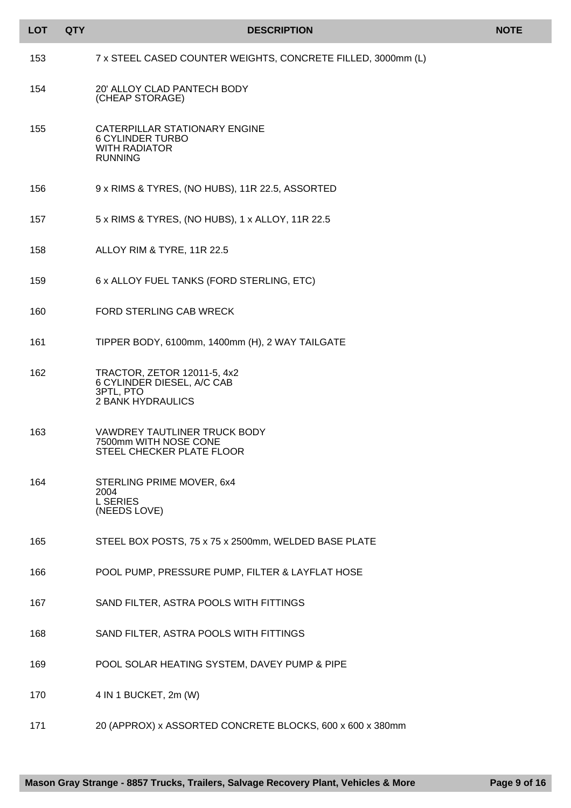| <b>LOT</b> | <b>QTY</b> | <b>DESCRIPTION</b>                                                                                 | <b>NOTE</b> |
|------------|------------|----------------------------------------------------------------------------------------------------|-------------|
| 153        |            | 7 x STEEL CASED COUNTER WEIGHTS, CONCRETE FILLED, 3000mm (L)                                       |             |
| 154        |            | 20' ALLOY CLAD PANTECH BODY<br>(CHEAP STORAGE)                                                     |             |
| 155        |            | CATERPILLAR STATIONARY ENGINE<br><b>6 CYLINDER TURBO</b><br><b>WITH RADIATOR</b><br><b>RUNNING</b> |             |
| 156        |            | 9 x RIMS & TYRES, (NO HUBS), 11R 22.5, ASSORTED                                                    |             |
| 157        |            | 5 x RIMS & TYRES, (NO HUBS), 1 x ALLOY, 11R 22.5                                                   |             |
| 158        |            | ALLOY RIM & TYRE, 11R 22.5                                                                         |             |
| 159        |            | 6 x ALLOY FUEL TANKS (FORD STERLING, ETC)                                                          |             |
| 160        |            | FORD STERLING CAB WRECK                                                                            |             |
| 161        |            | TIPPER BODY, 6100mm, 1400mm (H), 2 WAY TAILGATE                                                    |             |
| 162        |            | TRACTOR, ZETOR 12011-5, 4x2<br>6 CYLINDER DIESEL, A/C CAB<br>3PTL, PTO<br><b>2 BANK HYDRAULICS</b> |             |
| 163        |            | <b>VAWDREY TAUTLINER TRUCK BODY</b><br>7500mm WITH NOSE CONE<br>STEEL CHECKER PLATE FLOOR          |             |
| 164        |            | STERLING PRIME MOVER, 6x4<br>2004<br><b>L SERIES</b><br>(NEEDS LOVE)                               |             |
| 165        |            | STEEL BOX POSTS, 75 x 75 x 2500mm, WELDED BASE PLATE                                               |             |
| 166        |            | POOL PUMP, PRESSURE PUMP, FILTER & LAYFLAT HOSE                                                    |             |
| 167        |            | SAND FILTER, ASTRA POOLS WITH FITTINGS                                                             |             |
| 168        |            | SAND FILTER, ASTRA POOLS WITH FITTINGS                                                             |             |
| 169        |            | POOL SOLAR HEATING SYSTEM, DAVEY PUMP & PIPE                                                       |             |
| 170        |            | 4 IN 1 BUCKET, 2m (W)                                                                              |             |
| 171        |            | 20 (APPROX) x ASSORTED CONCRETE BLOCKS, 600 x 600 x 380mm                                          |             |

I ı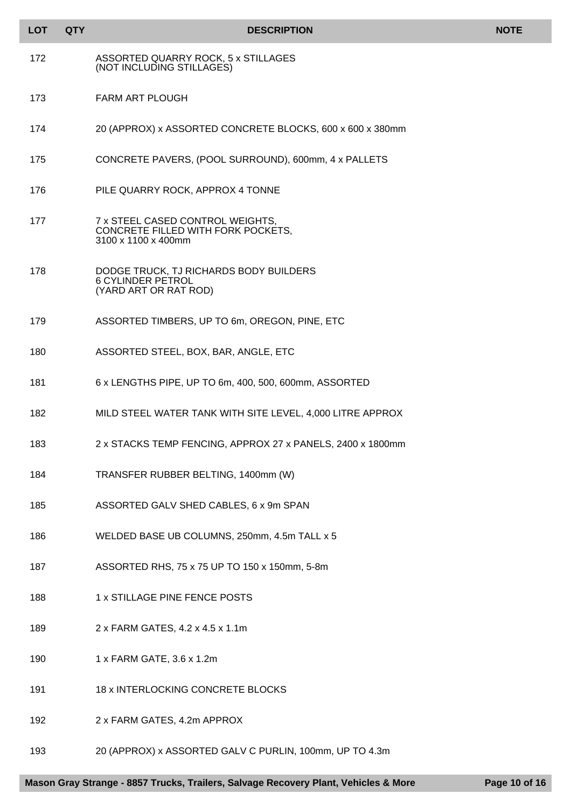| <b>LOT</b> | <b>QTY</b> | <b>DESCRIPTION</b>                                                                            | <b>NOTE</b> |
|------------|------------|-----------------------------------------------------------------------------------------------|-------------|
| 172        |            | ASSORTED QUARRY ROCK, 5 x STILLAGES<br>(NOT INCLUDING STILLAGES)                              |             |
| 173        |            | <b>FARM ART PLOUGH</b>                                                                        |             |
| 174        |            | 20 (APPROX) x ASSORTED CONCRETE BLOCKS, 600 x 600 x 380mm                                     |             |
| 175        |            | CONCRETE PAVERS, (POOL SURROUND), 600mm, 4 x PALLETS                                          |             |
| 176        |            | PILE QUARRY ROCK, APPROX 4 TONNE                                                              |             |
| 177        |            | 7 x STEEL CASED CONTROL WEIGHTS,<br>CONCRETE FILLED WITH FORK POCKETS.<br>3100 x 1100 x 400mm |             |
| 178        |            | DODGE TRUCK, TJ RICHARDS BODY BUILDERS<br><b>6 CYLINDER PETROL</b><br>(YARD ART OR RAT ROD)   |             |
| 179        |            | ASSORTED TIMBERS, UP TO 6m, OREGON, PINE, ETC                                                 |             |
| 180        |            | ASSORTED STEEL, BOX, BAR, ANGLE, ETC                                                          |             |
| 181        |            | 6 x LENGTHS PIPE, UP TO 6m, 400, 500, 600mm, ASSORTED                                         |             |
| 182        |            | MILD STEEL WATER TANK WITH SITE LEVEL, 4,000 LITRE APPROX                                     |             |
| 183        |            | 2 x STACKS TEMP FENCING, APPROX 27 x PANELS, 2400 x 1800mm                                    |             |
| 184        |            | TRANSFER RUBBER BELTING, 1400mm (W)                                                           |             |
| 185        |            | ASSORTED GALV SHED CABLES, 6 x 9m SPAN                                                        |             |
| 186        |            | WELDED BASE UB COLUMNS, 250mm, 4.5m TALL x 5                                                  |             |
| 187        |            | ASSORTED RHS, 75 x 75 UP TO 150 x 150mm, 5-8m                                                 |             |
| 188        |            | 1 x STILLAGE PINE FENCE POSTS                                                                 |             |
| 189        |            | 2 x FARM GATES, 4.2 x 4.5 x 1.1m                                                              |             |
| 190        |            | 1 x FARM GATE, 3.6 x 1.2m                                                                     |             |
| 191        |            | 18 x INTERLOCKING CONCRETE BLOCKS                                                             |             |
| 192        |            | 2 x FARM GATES, 4.2m APPROX                                                                   |             |
| 193        |            | 20 (APPROX) x ASSORTED GALV C PURLIN, 100mm, UP TO 4.3m                                       |             |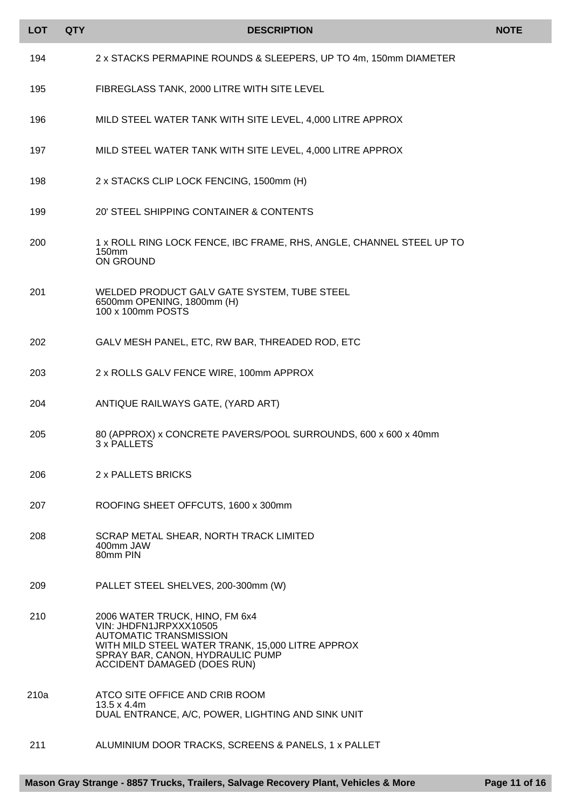| <b>LOT</b> | <b>QTY</b> | <b>DESCRIPTION</b>                                                                                                                                                                                                      | <b>NOTE</b> |
|------------|------------|-------------------------------------------------------------------------------------------------------------------------------------------------------------------------------------------------------------------------|-------------|
| 194        |            | 2 x STACKS PERMAPINE ROUNDS & SLEEPERS, UP TO 4m, 150mm DIAMETER                                                                                                                                                        |             |
| 195        |            | FIBREGLASS TANK, 2000 LITRE WITH SITE LEVEL                                                                                                                                                                             |             |
| 196        |            | MILD STEEL WATER TANK WITH SITE LEVEL, 4,000 LITRE APPROX                                                                                                                                                               |             |
| 197        |            | MILD STEEL WATER TANK WITH SITE LEVEL, 4,000 LITRE APPROX                                                                                                                                                               |             |
| 198        |            | 2 x STACKS CLIP LOCK FENCING, 1500mm (H)                                                                                                                                                                                |             |
| 199        |            | 20' STEEL SHIPPING CONTAINER & CONTENTS                                                                                                                                                                                 |             |
| 200        |            | 1 x ROLL RING LOCK FENCE, IBC FRAME, RHS, ANGLE, CHANNEL STEEL UP TO<br>150 <sub>mm</sub><br>ON GROUND                                                                                                                  |             |
| 201        |            | WELDED PRODUCT GALV GATE SYSTEM, TUBE STEEL<br>6500mm OPENING, 1800mm (H)<br>100 x 100mm POSTS                                                                                                                          |             |
| 202        |            | GALV MESH PANEL, ETC, RW BAR, THREADED ROD, ETC                                                                                                                                                                         |             |
| 203        |            | 2 x ROLLS GALV FENCE WIRE, 100mm APPROX                                                                                                                                                                                 |             |
| 204        |            | ANTIQUE RAILWAYS GATE, (YARD ART)                                                                                                                                                                                       |             |
| 205        |            | 80 (APPROX) x CONCRETE PAVERS/POOL SURROUNDS, 600 x 600 x 40mm<br>3 x PALLETS                                                                                                                                           |             |
| 206        |            | 2 x PALLETS BRICKS                                                                                                                                                                                                      |             |
| 207        |            | ROOFING SHEET OFFCUTS, 1600 x 300mm                                                                                                                                                                                     |             |
| 208        |            | SCRAP METAL SHEAR, NORTH TRACK LIMITED<br>400mm JAW<br>80mm PIN                                                                                                                                                         |             |
| 209        |            | PALLET STEEL SHELVES, 200-300mm (W)                                                                                                                                                                                     |             |
| 210        |            | 2006 WATER TRUCK, HINO, FM 6x4<br>VIN: JHDFN1JRPXXX10505<br><b>AUTOMATIC TRANSMISSION</b><br>WITH MILD STEEL WATER TRANK, 15,000 LITRE APPROX<br>SPRAY BAR, CANON, HYDRAULIC PUMP<br><b>ACCIDENT DAMAGED (DOES RUN)</b> |             |
| 210a       |            | ATCO SITE OFFICE AND CRIB ROOM<br>$13.5 \times 4.4$ m<br>DUAL ENTRANCE, A/C, POWER, LIGHTING AND SINK UNIT                                                                                                              |             |
| 211        |            | ALUMINIUM DOOR TRACKS, SCREENS & PANELS, 1 x PALLET                                                                                                                                                                     |             |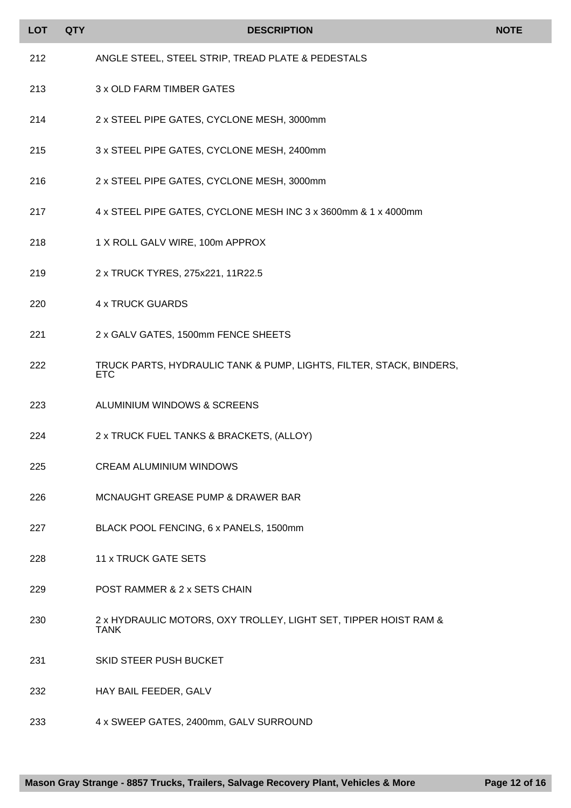| <b>LOT</b> | <b>QTY</b> | <b>DESCRIPTION</b>                                                                | <b>NOTE</b> |
|------------|------------|-----------------------------------------------------------------------------------|-------------|
| 212        |            | ANGLE STEEL, STEEL STRIP, TREAD PLATE & PEDESTALS                                 |             |
| 213        |            | 3 x OLD FARM TIMBER GATES                                                         |             |
| 214        |            | 2 x STEEL PIPE GATES, CYCLONE MESH, 3000mm                                        |             |
| 215        |            | 3 x STEEL PIPE GATES, CYCLONE MESH, 2400mm                                        |             |
| 216        |            | 2 x STEEL PIPE GATES, CYCLONE MESH, 3000mm                                        |             |
| 217        |            | 4 x STEEL PIPE GATES, CYCLONE MESH INC 3 x 3600mm & 1 x 4000mm                    |             |
| 218        |            | 1 X ROLL GALV WIRE, 100m APPROX                                                   |             |
| 219        |            | 2 x TRUCK TYRES, 275x221, 11R22.5                                                 |             |
| 220        |            | <b>4 x TRUCK GUARDS</b>                                                           |             |
| 221        |            | 2 x GALV GATES, 1500mm FENCE SHEETS                                               |             |
| 222        |            | TRUCK PARTS, HYDRAULIC TANK & PUMP, LIGHTS, FILTER, STACK, BINDERS,<br><b>ETC</b> |             |
| 223        |            | ALUMINIUM WINDOWS & SCREENS                                                       |             |
| 224        |            | 2 x TRUCK FUEL TANKS & BRACKETS, (ALLOY)                                          |             |
| 225        |            | <b>CREAM ALUMINIUM WINDOWS</b>                                                    |             |
| 226        |            | MCNAUGHT GREASE PUMP & DRAWER BAR                                                 |             |
| 227        |            | BLACK POOL FENCING, 6 x PANELS, 1500mm                                            |             |
| 228        |            | <b>11 x TRUCK GATE SETS</b>                                                       |             |
| 229        |            | POST RAMMER & 2 x SETS CHAIN                                                      |             |
| 230        |            | 2 x HYDRAULIC MOTORS, OXY TROLLEY, LIGHT SET, TIPPER HOIST RAM &<br><b>TANK</b>   |             |
| 231        |            | SKID STEER PUSH BUCKET                                                            |             |
| 232        |            | HAY BAIL FEEDER, GALV                                                             |             |
| 233        |            | 4 x SWEEP GATES, 2400mm, GALV SURROUND                                            |             |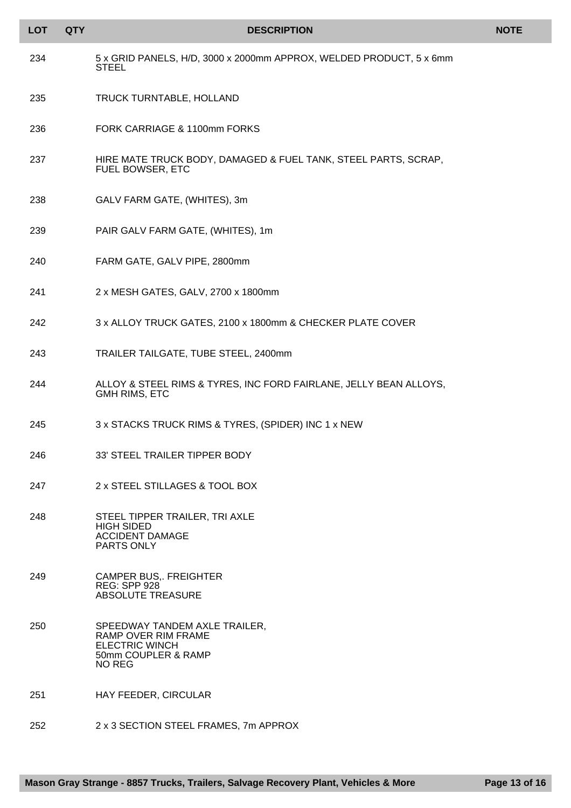| <b>LOT</b> | <b>QTY</b> | <b>DESCRIPTION</b>                                                                                             | <b>NOTE</b> |
|------------|------------|----------------------------------------------------------------------------------------------------------------|-------------|
| 234        |            | 5 x GRID PANELS, H/D, 3000 x 2000mm APPROX, WELDED PRODUCT, 5 x 6mm<br><b>STEEL</b>                            |             |
| 235        |            | TRUCK TURNTABLE, HOLLAND                                                                                       |             |
| 236        |            | FORK CARRIAGE & 1100mm FORKS                                                                                   |             |
| 237        |            | HIRE MATE TRUCK BODY, DAMAGED & FUEL TANK, STEEL PARTS, SCRAP,<br>FUEL BOWSER, ETC                             |             |
| 238        |            | GALV FARM GATE, (WHITES), 3m                                                                                   |             |
| 239        |            | PAIR GALV FARM GATE, (WHITES), 1m                                                                              |             |
| 240        |            | FARM GATE, GALV PIPE, 2800mm                                                                                   |             |
| 241        |            | 2 x MESH GATES, GALV, 2700 x 1800mm                                                                            |             |
| 242        |            | 3 x ALLOY TRUCK GATES, 2100 x 1800mm & CHECKER PLATE COVER                                                     |             |
| 243        |            | TRAILER TAILGATE, TUBE STEEL, 2400mm                                                                           |             |
| 244        |            | ALLOY & STEEL RIMS & TYRES, INC FORD FAIRLANE, JELLY BEAN ALLOYS,<br><b>GMH RIMS, ETC</b>                      |             |
| 245        |            | 3 x STACKS TRUCK RIMS & TYRES, (SPIDER) INC 1 x NEW                                                            |             |
| 246        |            | 33' STEEL TRAILER TIPPER BODY                                                                                  |             |
| 247        |            | 2 x STEEL STILLAGES & TOOL BOX                                                                                 |             |
| 248        |            | STEEL TIPPER TRAILER, TRI AXLE<br><b>HIGH SIDED</b><br><b>ACCIDENT DAMAGE</b><br>PARTS ONLY                    |             |
| 249        |            | <b>CAMPER BUS, FREIGHTER</b><br><b>REG: SPP 928</b><br><b>ABSOLUTE TREASURE</b>                                |             |
| 250        |            | SPEEDWAY TANDEM AXLE TRAILER,<br>RAMP OVER RIM FRAME<br><b>ELECTRIC WINCH</b><br>50mm COUPLER & RAMP<br>NO REG |             |
| 251        |            | HAY FEEDER, CIRCULAR                                                                                           |             |
| 252        |            | 2 x 3 SECTION STEEL FRAMES, 7m APPROX                                                                          |             |

I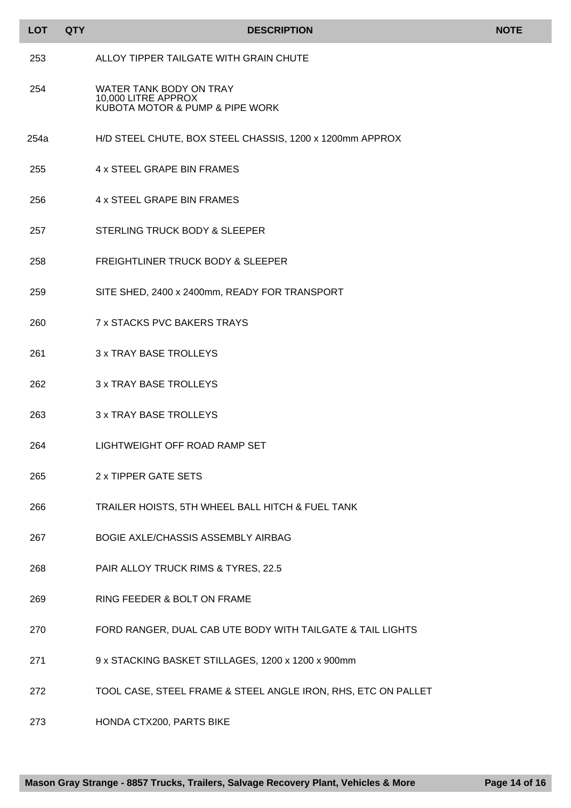| <b>LOT</b> | <b>QTY</b> | <b>DESCRIPTION</b>                                                                | <b>NOTE</b> |
|------------|------------|-----------------------------------------------------------------------------------|-------------|
| 253        |            | ALLOY TIPPER TAILGATE WITH GRAIN CHUTE                                            |             |
| 254        |            | WATER TANK BODY ON TRAY<br>10,000 LITRE APPROX<br>KUBOTA MOTOR & PUMP & PIPE WORK |             |
| 254a       |            | H/D STEEL CHUTE, BOX STEEL CHASSIS, 1200 x 1200mm APPROX                          |             |
| 255        |            | 4 x STEEL GRAPE BIN FRAMES                                                        |             |
| 256        |            | 4 x STEEL GRAPE BIN FRAMES                                                        |             |
| 257        |            | STERLING TRUCK BODY & SLEEPER                                                     |             |
| 258        |            | FREIGHTLINER TRUCK BODY & SLEEPER                                                 |             |
| 259        |            | SITE SHED, 2400 x 2400mm, READY FOR TRANSPORT                                     |             |
| 260        |            | <b>7 x STACKS PVC BAKERS TRAYS</b>                                                |             |
| 261        |            | <b>3 x TRAY BASE TROLLEYS</b>                                                     |             |
| 262        |            | <b>3 x TRAY BASE TROLLEYS</b>                                                     |             |
| 263        |            | <b>3 x TRAY BASE TROLLEYS</b>                                                     |             |
| 264        |            | LIGHTWEIGHT OFF ROAD RAMP SET                                                     |             |
| 265        |            | 2 x TIPPER GATE SETS                                                              |             |
| 266        |            | TRAILER HOISTS, 5TH WHEEL BALL HITCH & FUEL TANK                                  |             |
| 267        |            | BOGIE AXLE/CHASSIS ASSEMBLY AIRBAG                                                |             |
| 268        |            | PAIR ALLOY TRUCK RIMS & TYRES, 22.5                                               |             |
| 269        |            | RING FEEDER & BOLT ON FRAME                                                       |             |
| 270        |            | FORD RANGER, DUAL CAB UTE BODY WITH TAILGATE & TAIL LIGHTS                        |             |
| 271        |            | 9 x STACKING BASKET STILLAGES, 1200 x 1200 x 900mm                                |             |
| 272        |            | TOOL CASE, STEEL FRAME & STEEL ANGLE IRON, RHS, ETC ON PALLET                     |             |

HONDA CTX200, PARTS BIKE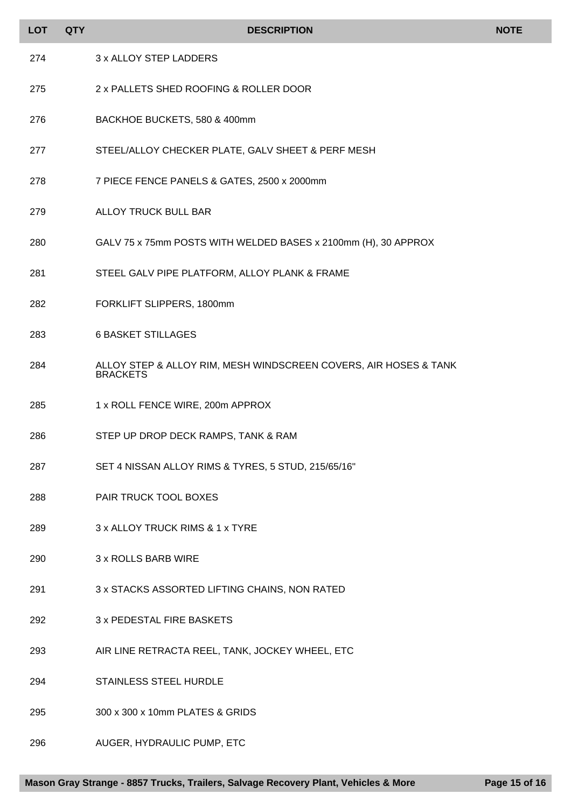| <b>LOT</b> | <b>QTY</b> | <b>DESCRIPTION</b>                                                                  | <b>NOTE</b> |
|------------|------------|-------------------------------------------------------------------------------------|-------------|
| 274        |            | 3 x ALLOY STEP LADDERS                                                              |             |
| 275        |            | 2 x PALLETS SHED ROOFING & ROLLER DOOR                                              |             |
| 276        |            | BACKHOE BUCKETS, 580 & 400mm                                                        |             |
| 277        |            | STEEL/ALLOY CHECKER PLATE, GALV SHEET & PERF MESH                                   |             |
| 278        |            | 7 PIECE FENCE PANELS & GATES, 2500 x 2000mm                                         |             |
| 279        |            | ALLOY TRUCK BULL BAR                                                                |             |
| 280        |            | GALV 75 x 75mm POSTS WITH WELDED BASES x 2100mm (H), 30 APPROX                      |             |
| 281        |            | STEEL GALV PIPE PLATFORM, ALLOY PLANK & FRAME                                       |             |
| 282        |            | FORKLIFT SLIPPERS, 1800mm                                                           |             |
| 283        |            | <b>6 BASKET STILLAGES</b>                                                           |             |
| 284        |            | ALLOY STEP & ALLOY RIM, MESH WINDSCREEN COVERS, AIR HOSES & TANK<br><b>BRACKETS</b> |             |
| 285        |            | 1 x ROLL FENCE WIRE, 200m APPROX                                                    |             |
| 286        |            | STEP UP DROP DECK RAMPS, TANK & RAM                                                 |             |
| 287        |            | SET 4 NISSAN ALLOY RIMS & TYRES, 5 STUD, 215/65/16"                                 |             |
| 288        |            | PAIR TRUCK TOOL BOXES                                                               |             |
| 289        |            | 3 x ALLOY TRUCK RIMS & 1 x TYRE                                                     |             |
| 290        |            | 3 x ROLLS BARB WIRE                                                                 |             |
| 291        |            | 3 x STACKS ASSORTED LIFTING CHAINS, NON RATED                                       |             |
| 292        |            | 3 x PEDESTAL FIRE BASKETS                                                           |             |
| 293        |            | AIR LINE RETRACTA REEL, TANK, JOCKEY WHEEL, ETC                                     |             |
| 294        |            | <b>STAINLESS STEEL HURDLE</b>                                                       |             |
| 295        |            | 300 x 300 x 10mm PLATES & GRIDS                                                     |             |
| 296        |            | AUGER, HYDRAULIC PUMP, ETC                                                          |             |